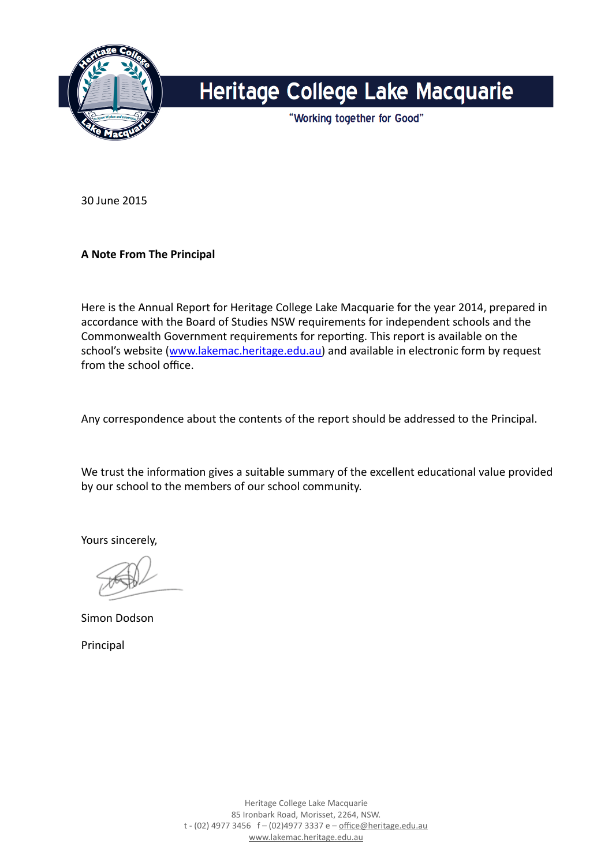

# Heritage College Lake Macquarie

"Working together for Good"

30 June 2015 

### **A** Note From The Principal

Here is the Annual Report for Heritage College Lake Macquarie for the year 2014, prepared in accordance with the Board of Studies NSW requirements for independent schools and the Commonwealth Government requirements for reporting. This report is available on the school's website ([www.lakemac.heritage.edu.au\)](http://www.heritage.edu.au) and available in electronic form by request from the school office.

Any correspondence about the contents of the report should be addressed to the Principal.

We trust the information gives a suitable summary of the excellent educational value provided by our school to the members of our school community.

Yours sincerely,

Simon Dodson

Principal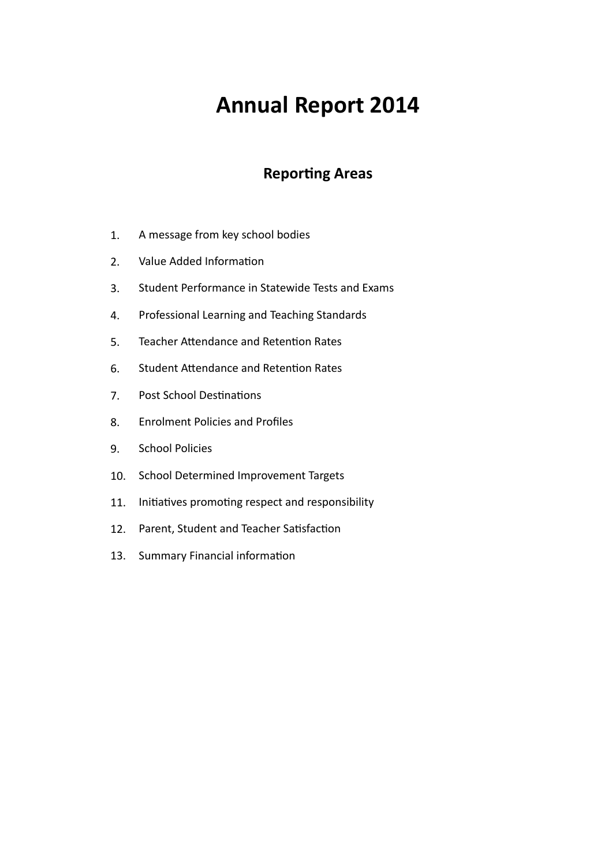# **Annual Report 2014**

### **Reporting Areas**

- 1. A message from key school bodies
- 2. Value Added Information
- 3. Student Performance in Statewide Tests and Exams
- 4. Professional Learning and Teaching Standards
- 5. Teacher Attendance and Retention Rates
- 6. Student Attendance and Retention Rates
- 7. Post School Destinations
- 8. Enrolment Policies and Profiles
- 9. School Policies
- 10. School Determined Improvement Targets
- 11. Initiatives promoting respect and responsibility
- 12. Parent, Student and Teacher Satisfaction
- 13. Summary Financial information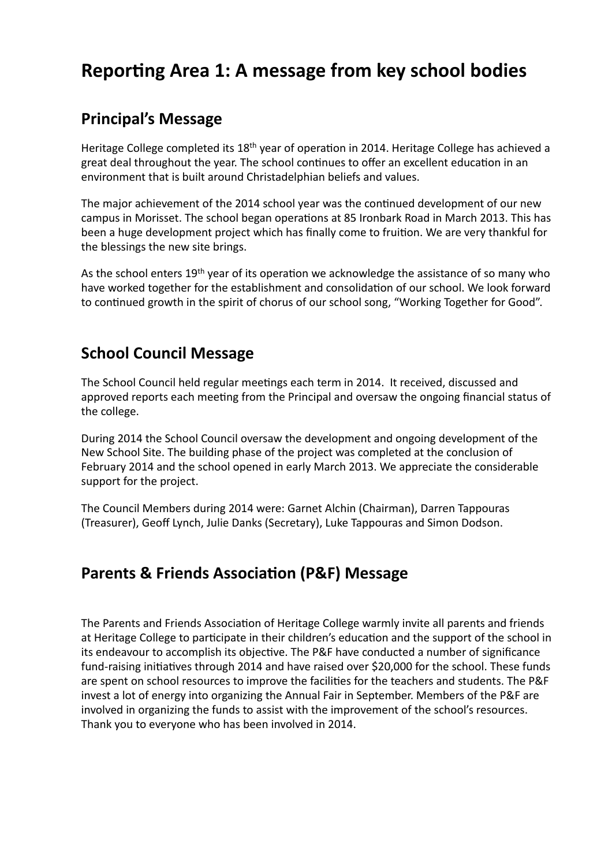## **Reporting Area 1: A message from key school bodies**

### **Principal's Message**

Heritage College completed its  $18<sup>th</sup>$  year of operation in 2014. Heritage College has achieved a great deal throughout the year. The school continues to offer an excellent education in an environment that is built around Christadelphian beliefs and values.

The major achievement of the 2014 school year was the continued development of our new campus in Morisset. The school began operations at 85 Ironbark Road in March 2013. This has been a huge development project which has finally come to fruition. We are very thankful for the blessings the new site brings.

As the school enters 19<sup>th</sup> year of its operation we acknowledge the assistance of so many who have worked together for the establishment and consolidation of our school. We look forward to continued growth in the spirit of chorus of our school song, "Working Together for Good".

### **School Council Message**

The School Council held regular meetings each term in 2014. It received, discussed and approved reports each meeting from the Principal and oversaw the ongoing financial status of the college.

During 2014 the School Council oversaw the development and ongoing development of the New School Site. The building phase of the project was completed at the conclusion of February 2014 and the school opened in early March 2013. We appreciate the considerable support for the project.

The Council Members during 2014 were: Garnet Alchin (Chairman), Darren Tappouras (Treasurer), Geoff Lynch, Julie Danks (Secretary), Luke Tappouras and Simon Dodson.

### **Parents & Friends Association (P&F) Message**

The Parents and Friends Association of Heritage College warmly invite all parents and friends at Heritage College to participate in their children's education and the support of the school in its endeavour to accomplish its objective. The P&F have conducted a number of significance fund-raising initiatives through 2014 and have raised over \$20,000 for the school. These funds are spent on school resources to improve the facilities for the teachers and students. The P&F invest a lot of energy into organizing the Annual Fair in September. Members of the P&F are involved in organizing the funds to assist with the improvement of the school's resources. Thank you to everyone who has been involved in 2014.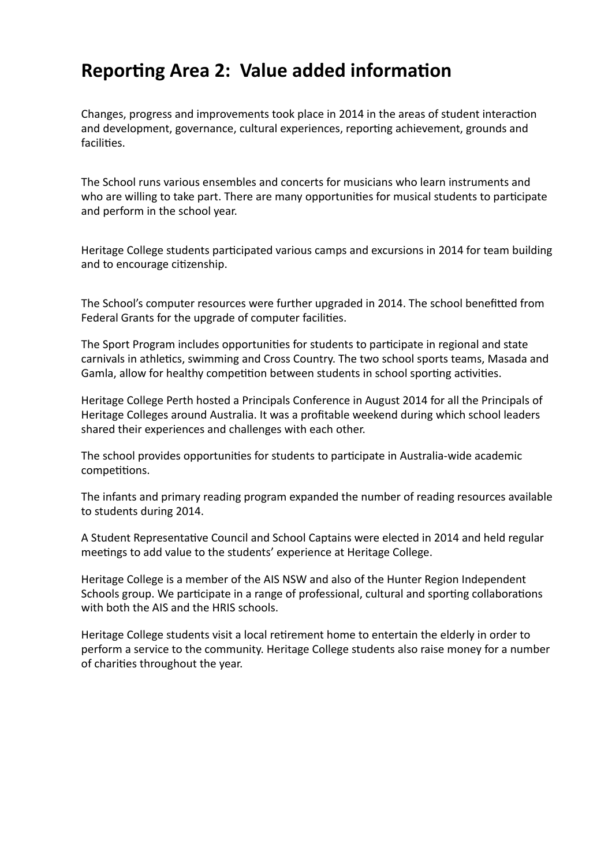## **Reporting Area 2: Value added information**

Changes, progress and improvements took place in 2014 in the areas of student interaction and development, governance, cultural experiences, reporting achievement, grounds and facilities.

The School runs various ensembles and concerts for musicians who learn instruments and who are willing to take part. There are many opportunities for musical students to participate and perform in the school year.

Heritage College students participated various camps and excursions in 2014 for team building and to encourage citizenship.

The School's computer resources were further upgraded in 2014. The school benefitted from Federal Grants for the upgrade of computer facilities.

The Sport Program includes opportunities for students to participate in regional and state carnivals in athletics, swimming and Cross Country. The two school sports teams, Masada and Gamla, allow for healthy competition between students in school sporting activities.

Heritage College Perth hosted a Principals Conference in August 2014 for all the Principals of Heritage Colleges around Australia. It was a profitable weekend during which school leaders shared their experiences and challenges with each other.

The school provides opportunities for students to participate in Australia-wide academic competitions.

The infants and primary reading program expanded the number of reading resources available to students during 2014.

A Student Representative Council and School Captains were elected in 2014 and held regular meetings to add value to the students' experience at Heritage College.

Heritage College is a member of the AIS NSW and also of the Hunter Region Independent Schools group. We participate in a range of professional, cultural and sporting collaborations with both the AIS and the HRIS schools.

Heritage College students visit a local retirement home to entertain the elderly in order to perform a service to the community. Heritage College students also raise money for a number of charities throughout the year.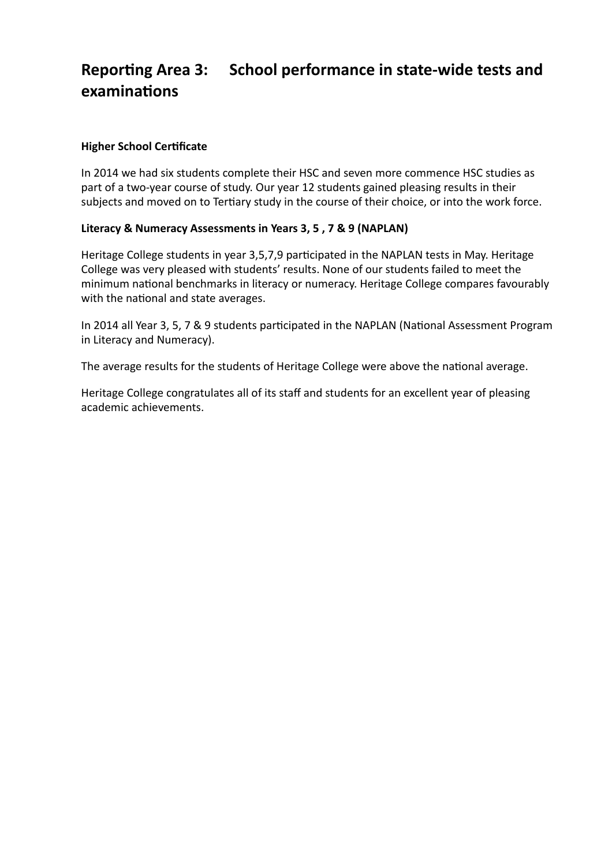## Reporting Area 3: School performance in state-wide tests and **examinations**

### **Higher School Certificate**

In 2014 we had six students complete their HSC and seven more commence HSC studies as part of a two-year course of study. Our year 12 students gained pleasing results in their subjects and moved on to Tertiary study in the course of their choice, or into the work force.

### Literacy & Numeracy Assessments in Years 3, 5, 7 & 9 (NAPLAN)

Heritage College students in year 3,5,7,9 participated in the NAPLAN tests in May. Heritage College was very pleased with students' results. None of our students failed to meet the minimum national benchmarks in literacy or numeracy. Heritage College compares favourably with the national and state averages.

In 2014 all Year 3, 5, 7 & 9 students participated in the NAPLAN (National Assessment Program in Literacy and Numeracy).

The average results for the students of Heritage College were above the national average.

Heritage College congratulates all of its staff and students for an excellent year of pleasing academic achievements.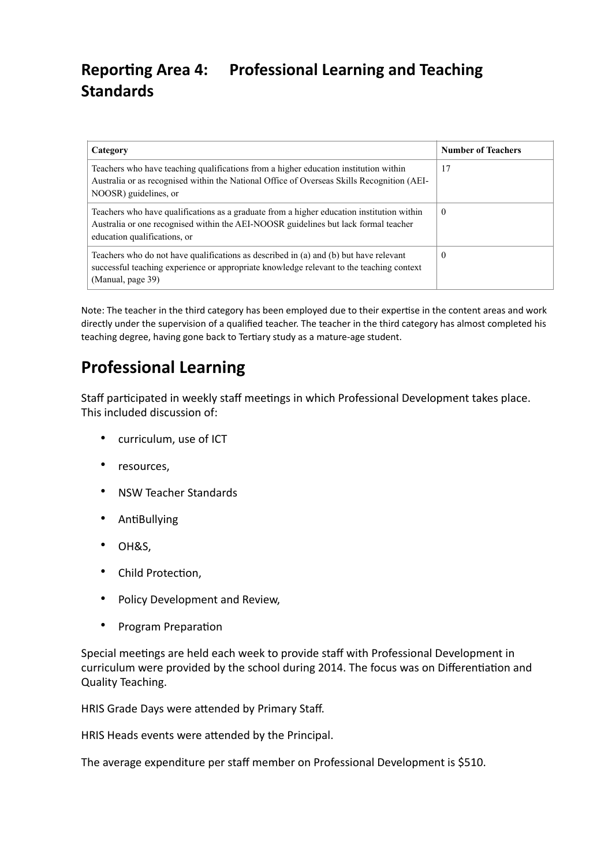## **Reporting Area 4: Professional Learning and Teaching Standards**

| Category                                                                                                                                                                                                         | <b>Number of Teachers</b> |
|------------------------------------------------------------------------------------------------------------------------------------------------------------------------------------------------------------------|---------------------------|
| Teachers who have teaching qualifications from a higher education institution within<br>Australia or as recognised within the National Office of Overseas Skills Recognition (AEI-<br>NOOSR) guidelines, or      | 17                        |
| Teachers who have qualifications as a graduate from a higher education institution within<br>Australia or one recognised within the AEI-NOOSR guidelines but lack formal teacher<br>education qualifications, or | $\theta$                  |
| Teachers who do not have qualifications as described in (a) and (b) but have relevant<br>successful teaching experience or appropriate knowledge relevant to the teaching context<br>(Manual, page 39)           | $\theta$                  |

Note: The teacher in the third category has been employed due to their expertise in the content areas and work directly under the supervision of a qualified teacher. The teacher in the third category has almost completed his teaching degree, having gone back to Tertiary study as a mature-age student.

### **Professional Learning**

Staff participated in weekly staff meetings in which Professional Development takes place. This included discussion of:

- curriculum, use of ICT
- resources,
- NSW Teacher Standards
- **AntiBullying**
- OH&S,
- Child Protection,
- Policy Development and Review,
- Program Preparation

Special meetings are held each week to provide staff with Professional Development in curriculum were provided by the school during 2014. The focus was on Differentiation and Quality Teaching. 

HRIS Grade Days were attended by Primary Staff.

HRIS Heads events were attended by the Principal.

The average expenditure per staff member on Professional Development is \$510.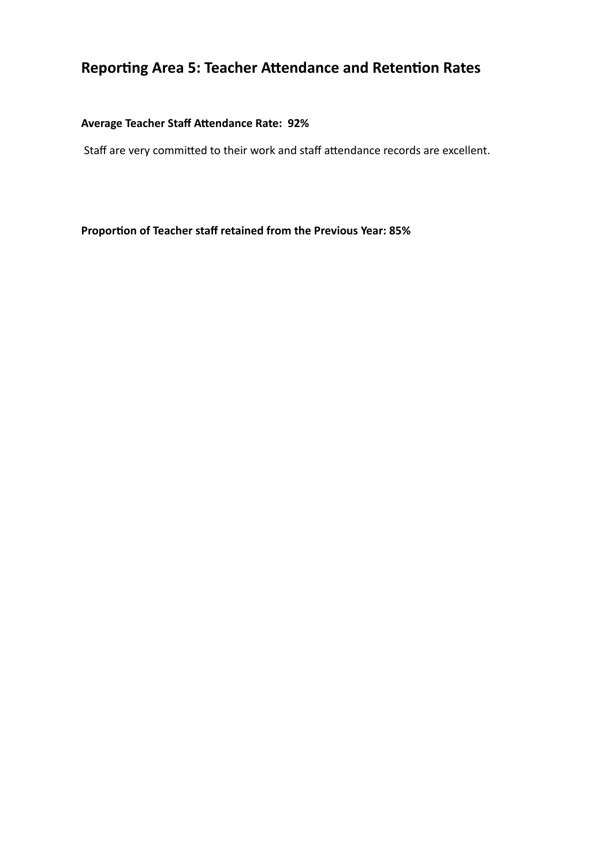## **Reporting Area 5: Teacher Attendance and Retention Rates**

### Average Teacher Staff Attendance Rate: 92%

Staff are very committed to their work and staff attendance records are excellent.

Proportion of Teacher staff retained from the Previous Year: 85%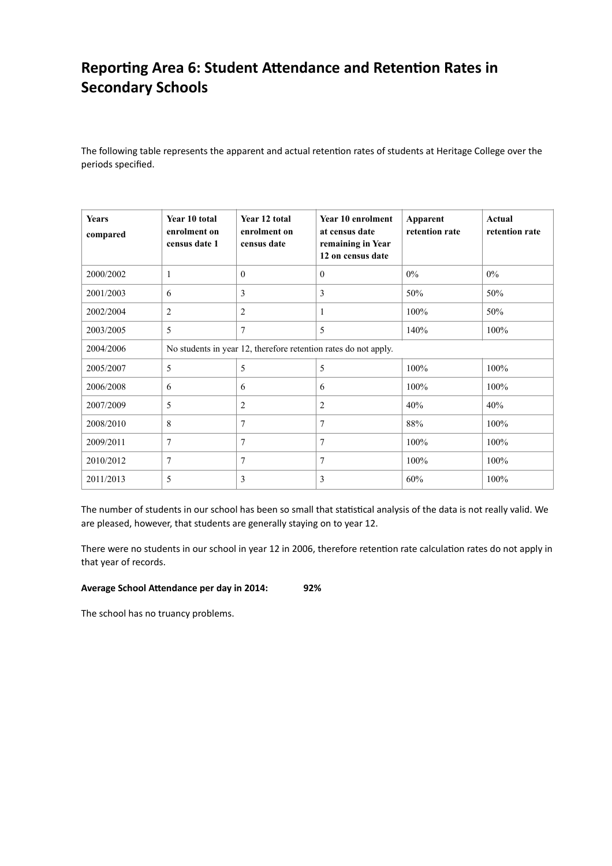### Reporting Area 6: Student Attendance and Retention Rates in **Secondary Schools**

The following table represents the apparent and actual retention rates of students at Heritage College over the periods specified.

| <b>Years</b><br>compared | Year 10 total<br>enrolment on<br>census date 1                  | Year 12 total<br>enrolment on<br>census date | Year 10 enrolment<br>at census date<br>remaining in Year<br>12 on census date | Apparent<br>retention rate | Actual<br>retention rate |
|--------------------------|-----------------------------------------------------------------|----------------------------------------------|-------------------------------------------------------------------------------|----------------------------|--------------------------|
| 2000/2002                | 1                                                               | $\Omega$                                     | $\mathbf{0}$                                                                  | $0\%$                      | $0\%$                    |
| 2001/2003                | 6                                                               | 3                                            | 3                                                                             | 50%                        | 50%                      |
| 2002/2004                | $\overline{2}$                                                  | $\overline{2}$                               | 1                                                                             | 100%                       | 50%                      |
| 2003/2005                | 5                                                               | $\overline{7}$                               | 5                                                                             | 140%                       | 100%                     |
| 2004/2006                | No students in year 12, therefore retention rates do not apply. |                                              |                                                                               |                            |                          |
| 2005/2007                | 5                                                               | 5                                            | 5                                                                             | 100%                       | 100%                     |
| 2006/2008                | 6                                                               | 6                                            | 6                                                                             | 100%                       | 100%                     |
| 2007/2009                | 5                                                               | $\overline{2}$                               | 2                                                                             | 40%                        | 40%                      |
| 2008/2010                | 8                                                               | 7                                            | 7                                                                             | 88%                        | 100%                     |
| 2009/2011                | 7                                                               | 7                                            | 7                                                                             | 100%                       | 100%                     |
| 2010/2012                | 7                                                               | $\overline{7}$                               | 7                                                                             | 100%                       | 100%                     |
| 2011/2013                | 5                                                               | 3                                            | 3                                                                             | 60%                        | 100%                     |

The number of students in our school has been so small that statistical analysis of the data is not really valid. We are pleased, however, that students are generally staying on to year 12.

There were no students in our school in year 12 in 2006, therefore retention rate calculation rates do not apply in that year of records.

#### Average School Attendance per day in 2014: 92%

The school has no truancy problems.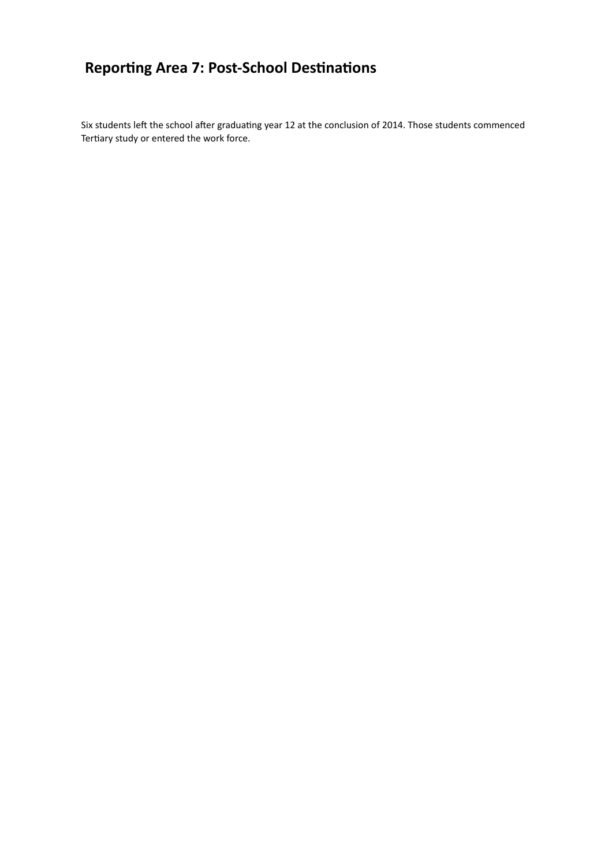## **Reporting Area 7: Post-School Destinations**

Six students left the school after graduating year 12 at the conclusion of 2014. Those students commenced Tertiary study or entered the work force.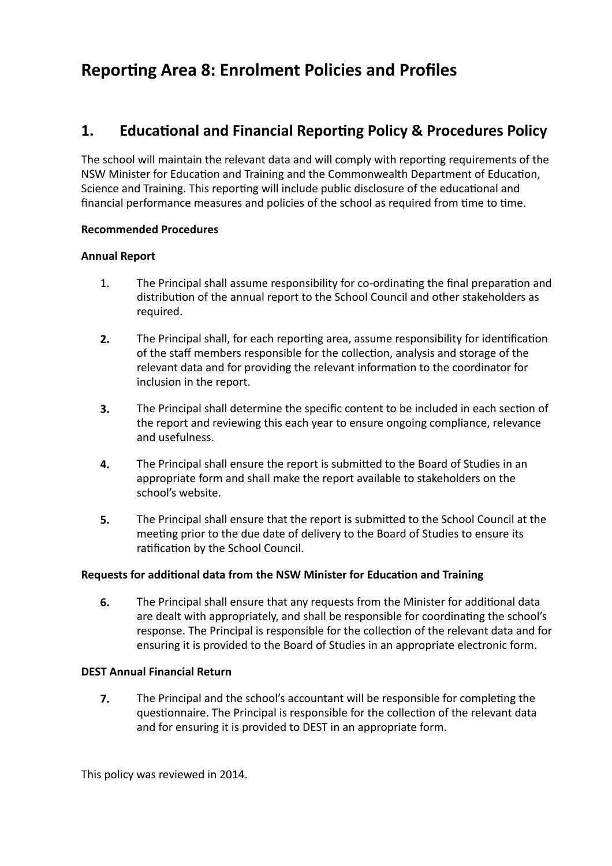## **Reporting Area 8: Enrolment Policies and Profiles**

### **1.** Educational and Financial Reporting Policy & Procedures Policy

The school will maintain the relevant data and will comply with reporting requirements of the NSW Minister for Education and Training and the Commonwealth Department of Education, Science and Training. This reporting will include public disclosure of the educational and financial performance measures and policies of the school as required from time to time.

#### **Recommended Procedures**

### **Annual Report**

- 1. The Principal shall assume responsibility for co-ordinating the final preparation and distribution of the annual report to the School Council and other stakeholders as required.
- **2.** The Principal shall, for each reporting area, assume responsibility for identification of the staff members responsible for the collection, analysis and storage of the relevant data and for providing the relevant information to the coordinator for inclusion in the report.
- **3.** The Principal shall determine the specific content to be included in each section of the report and reviewing this each year to ensure ongoing compliance, relevance and usefulness.
- **4.** The Principal shall ensure the report is submitted to the Board of Studies in an appropriate form and shall make the report available to stakeholders on the school's website.
- **5.** The Principal shall ensure that the report is submitted to the School Council at the meeting prior to the due date of delivery to the Board of Studies to ensure its ratification by the School Council.

#### **Requests for additional data from the NSW Minister for Education and Training**

**6.** The Principal shall ensure that any requests from the Minister for additional data are dealt with appropriately, and shall be responsible for coordinating the school's response. The Principal is responsible for the collection of the relevant data and for ensuring it is provided to the Board of Studies in an appropriate electronic form.

#### **DEST Annual Financial Return**

**7.** The Principal and the school's accountant will be responsible for completing the questionnaire. The Principal is responsible for the collection of the relevant data and for ensuring it is provided to DEST in an appropriate form.

This policy was reviewed in 2014.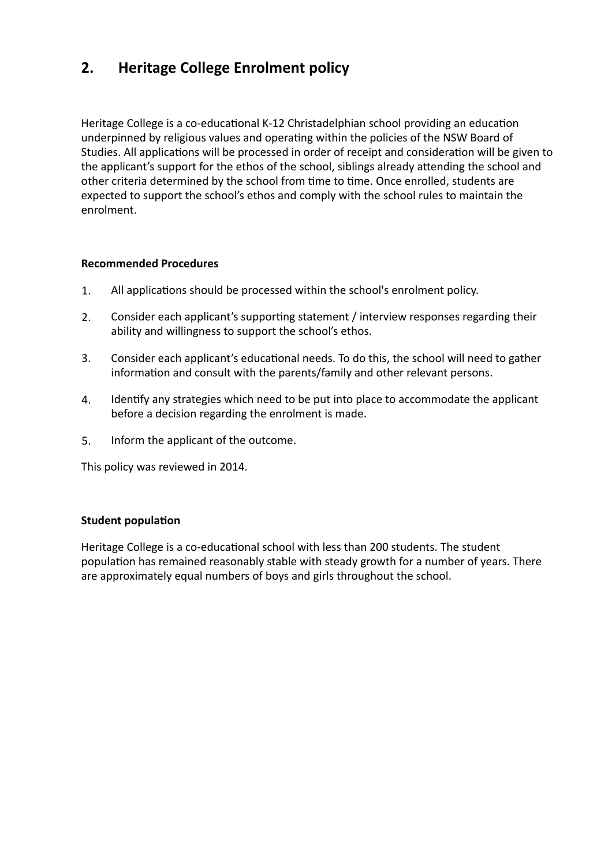### **2.** Heritage College Enrolment policy

Heritage College is a co-educational K-12 Christadelphian school providing an education underpinned by religious values and operating within the policies of the NSW Board of Studies. All applications will be processed in order of receipt and consideration will be given to the applicant's support for the ethos of the school, siblings already attending the school and other criteria determined by the school from time to time. Once enrolled, students are expected to support the school's ethos and comply with the school rules to maintain the enrolment. 

### **Recommended Procedures**

- 1. All applications should be processed within the school's enrolment policy.
- 2. Consider each applicant's supporting statement / interview responses regarding their ability and willingness to support the school's ethos.
- 3. Consider each applicant's educational needs. To do this, the school will need to gather information and consult with the parents/family and other relevant persons.
- 4. Identify any strategies which need to be put into place to accommodate the applicant before a decision regarding the enrolment is made.
- 5. Inform the applicant of the outcome.

This policy was reviewed in 2014.

#### **Student population**

Heritage College is a co-educational school with less than 200 students. The student population has remained reasonably stable with steady growth for a number of years. There are approximately equal numbers of boys and girls throughout the school.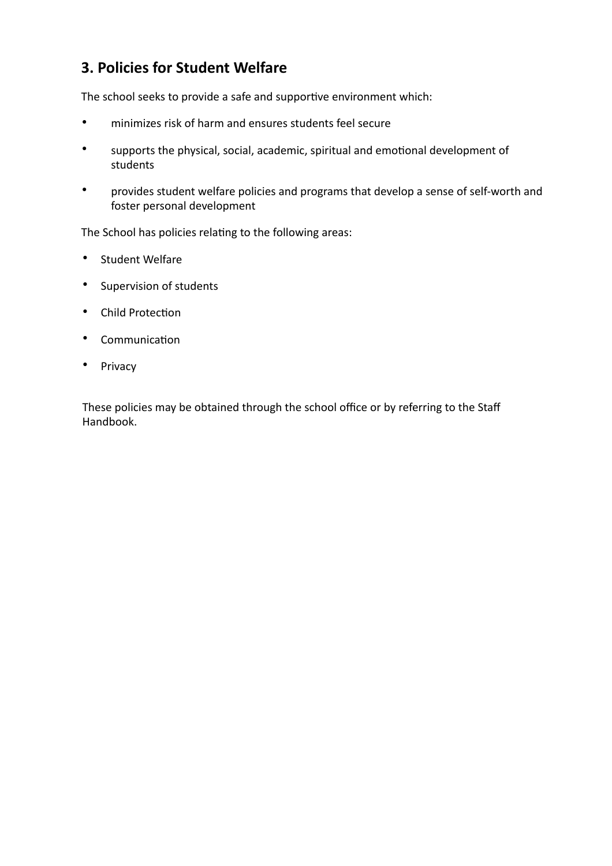### **3. Policies for Student Welfare**

The school seeks to provide a safe and supportive environment which:

- minimizes risk of harm and ensures students feel secure
- supports the physical, social, academic, spiritual and emotional development of students
- provides student welfare policies and programs that develop a sense of self-worth and foster personal development

The School has policies relating to the following areas:

- Student Welfare
- Supervision of students
- Child Protection
- Communication
- Privacy

These policies may be obtained through the school office or by referring to the Staff Handbook.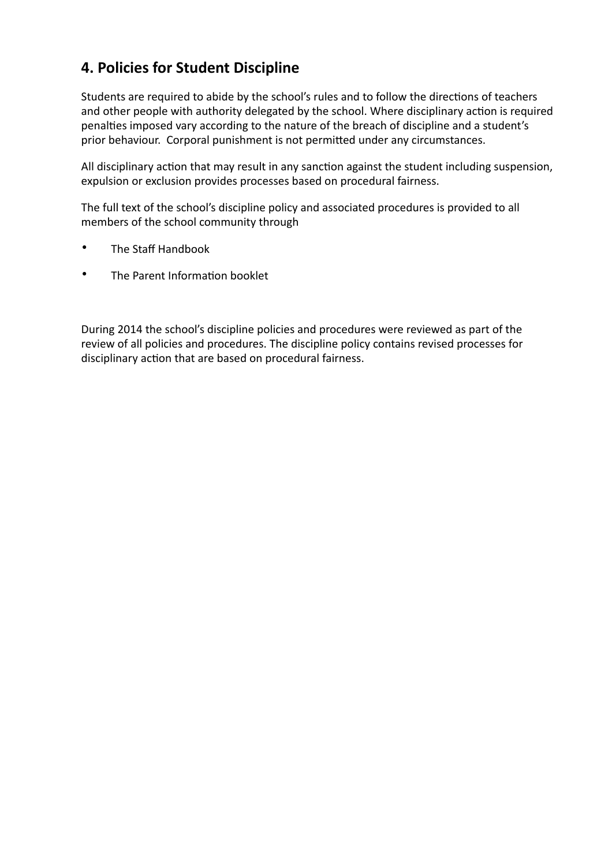### **4. Policies for Student Discipline**

Students are required to abide by the school's rules and to follow the directions of teachers and other people with authority delegated by the school. Where disciplinary action is required penalties imposed vary according to the nature of the breach of discipline and a student's prior behaviour. Corporal punishment is not permitted under any circumstances.

All disciplinary action that may result in any sanction against the student including suspension, expulsion or exclusion provides processes based on procedural fairness.

The full text of the school's discipline policy and associated procedures is provided to all members of the school community through

- The Staff Handbook
- The Parent Information booklet

During 2014 the school's discipline policies and procedures were reviewed as part of the review of all policies and procedures. The discipline policy contains revised processes for disciplinary action that are based on procedural fairness.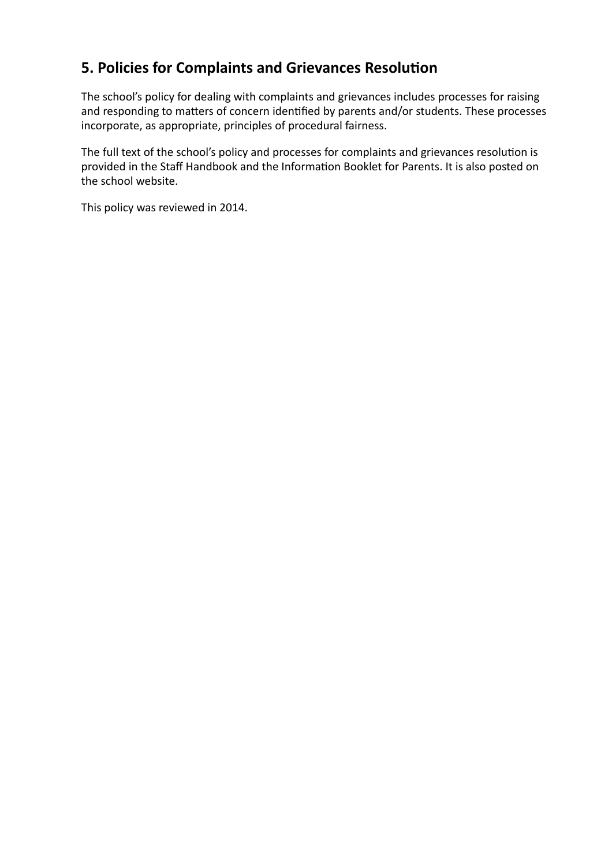### **5. Policies for Complaints and Grievances Resolution**

The school's policy for dealing with complaints and grievances includes processes for raising and responding to matters of concern identified by parents and/or students. These processes incorporate, as appropriate, principles of procedural fairness.

The full text of the school's policy and processes for complaints and grievances resolution is provided in the Staff Handbook and the Information Booklet for Parents. It is also posted on the school website.

This policy was reviewed in 2014.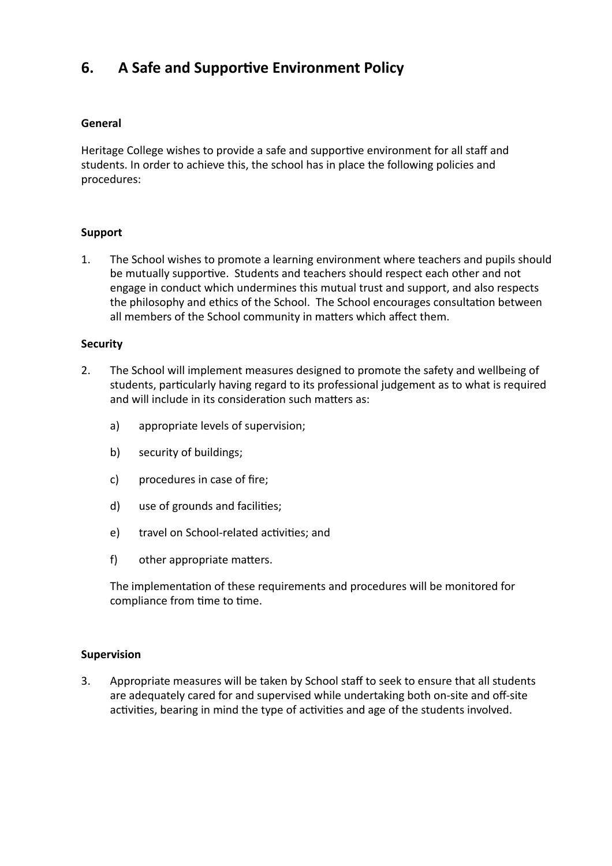### **6.** A Safe and Supportive Environment Policy

#### **General**

Heritage College wishes to provide a safe and supportive environment for all staff and students. In order to achieve this, the school has in place the following policies and procedures:

#### **Support**

1. The School wishes to promote a learning environment where teachers and pupils should be mutually supportive. Students and teachers should respect each other and not engage in conduct which undermines this mutual trust and support, and also respects the philosophy and ethics of the School. The School encourages consultation between all members of the School community in matters which affect them.

#### **Security**

- 2. The School will implement measures designed to promote the safety and wellbeing of students, particularly having regard to its professional judgement as to what is required and will include in its consideration such matters as:
	- a) appropriate levels of supervision;
	- b) security of buildings;
	- c) procedures in case of fire;
	- d) use of grounds and facilities;
	- e) travel on School-related activities; and
	- f) other appropriate matters.

The implementation of these requirements and procedures will be monitored for compliance from time to time.

#### **Supervision**

3. Appropriate measures will be taken by School staff to seek to ensure that all students are adequately cared for and supervised while undertaking both on-site and off-site activities, bearing in mind the type of activities and age of the students involved.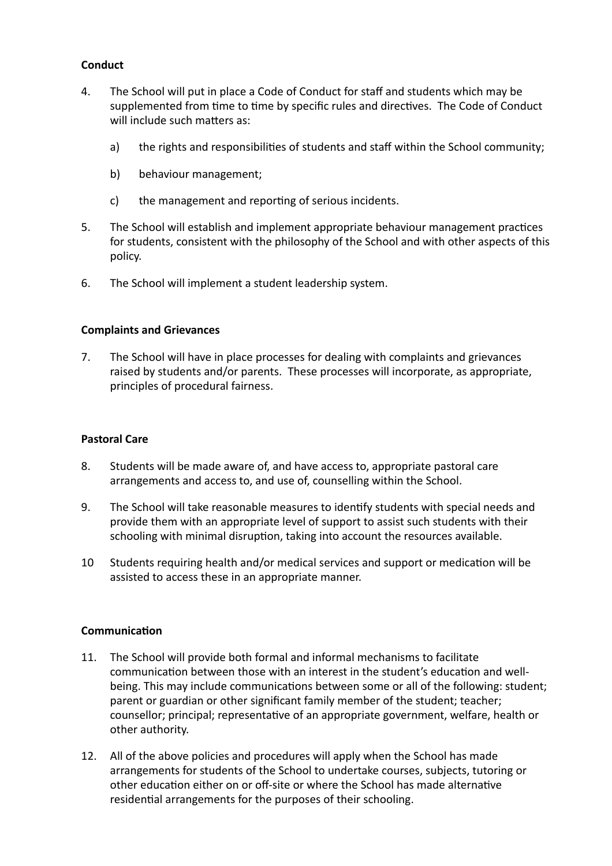### **Conduct**

- 4. The School will put in place a Code of Conduct for staff and students which may be supplemented from time to time by specific rules and directives. The Code of Conduct will include such matters as:
	- a) the rights and responsibilities of students and staff within the School community;
	- b) behaviour management;
	- c) the management and reporting of serious incidents.
- 5. The School will establish and implement appropriate behaviour management practices for students, consistent with the philosophy of the School and with other aspects of this policy.
- 6. The School will implement a student leadership system.

#### **Complaints and Grievances**

7. The School will have in place processes for dealing with complaints and grievances raised by students and/or parents. These processes will incorporate, as appropriate, principles of procedural fairness.

#### **Pastoral Care**

- 8. Students will be made aware of, and have access to, appropriate pastoral care arrangements and access to, and use of, counselling within the School.
- 9. The School will take reasonable measures to identify students with special needs and provide them with an appropriate level of support to assist such students with their schooling with minimal disruption, taking into account the resources available.
- 10 Students requiring health and/or medical services and support or medication will be assisted to access these in an appropriate manner.

#### **Communication**

- 11. The School will provide both formal and informal mechanisms to facilitate communication between those with an interest in the student's education and wellbeing. This may include communications between some or all of the following: student; parent or guardian or other significant family member of the student; teacher; counsellor; principal; representative of an appropriate government, welfare, health or other authority.
- 12. All of the above policies and procedures will apply when the School has made arrangements for students of the School to undertake courses, subjects, tutoring or other education either on or off-site or where the School has made alternative residential arrangements for the purposes of their schooling.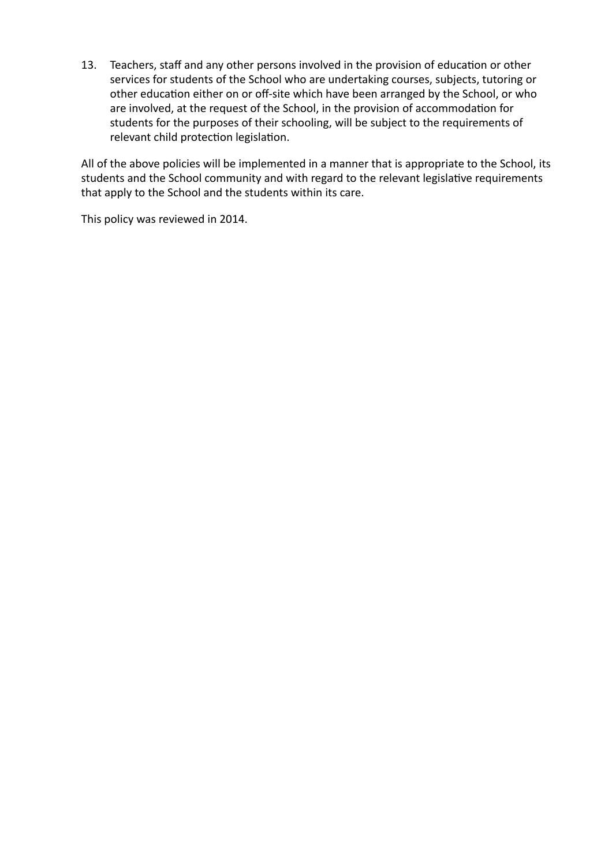13. Teachers, staff and any other persons involved in the provision of education or other services for students of the School who are undertaking courses, subjects, tutoring or other education either on or off-site which have been arranged by the School, or who are involved, at the request of the School, in the provision of accommodation for students for the purposes of their schooling, will be subject to the requirements of relevant child protection legislation.

All of the above policies will be implemented in a manner that is appropriate to the School, its students and the School community and with regard to the relevant legislative requirements that apply to the School and the students within its care.

This policy was reviewed in 2014.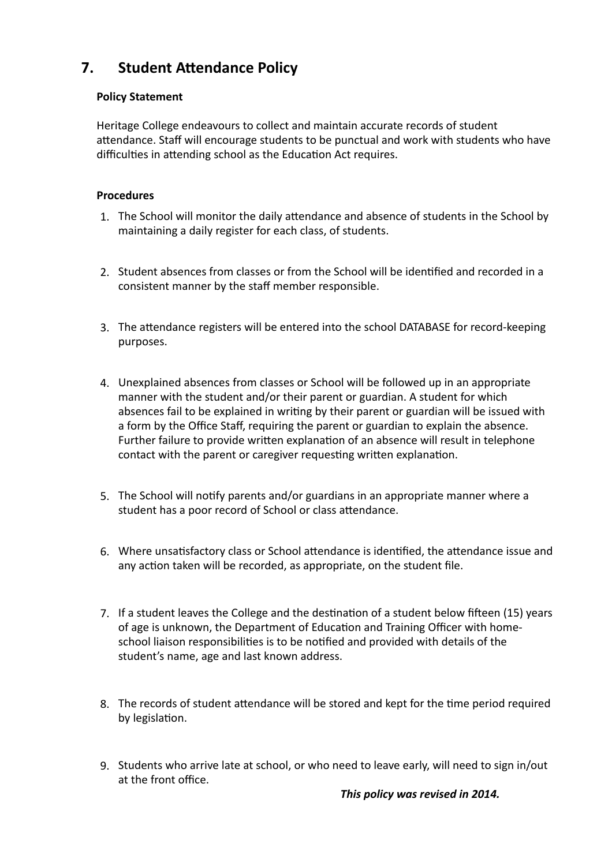### **7.** Student Attendance Policy

### **Policy Statement**

Heritage College endeavours to collect and maintain accurate records of student attendance. Staff will encourage students to be punctual and work with students who have difficulties in attending school as the Education Act requires.

### **Procedures**

- 1. The School will monitor the daily attendance and absence of students in the School by maintaining a daily register for each class, of students.
- 2. Student absences from classes or from the School will be identified and recorded in a consistent manner by the staff member responsible.
- 3. The attendance registers will be entered into the school DATABASE for record-keeping purposes.
- 4. Unexplained absences from classes or School will be followed up in an appropriate manner with the student and/or their parent or guardian. A student for which absences fail to be explained in writing by their parent or guardian will be issued with a form by the Office Staff, requiring the parent or guardian to explain the absence. Further failure to provide written explanation of an absence will result in telephone contact with the parent or caregiver requesting written explanation.
- 5. The School will notify parents and/or guardians in an appropriate manner where a student has a poor record of School or class attendance.
- 6. Where unsatisfactory class or School attendance is identified, the attendance issue and any action taken will be recorded, as appropriate, on the student file.
- 7. If a student leaves the College and the destination of a student below fifteen (15) years of age is unknown, the Department of Education and Training Officer with homeschool liaison responsibilities is to be notified and provided with details of the student's name, age and last known address.
- 8. The records of student attendance will be stored and kept for the time period required by legislation.
- 9. Students who arrive late at school, or who need to leave early, will need to sign in/out at the front office.

### This policy was revised in 2014.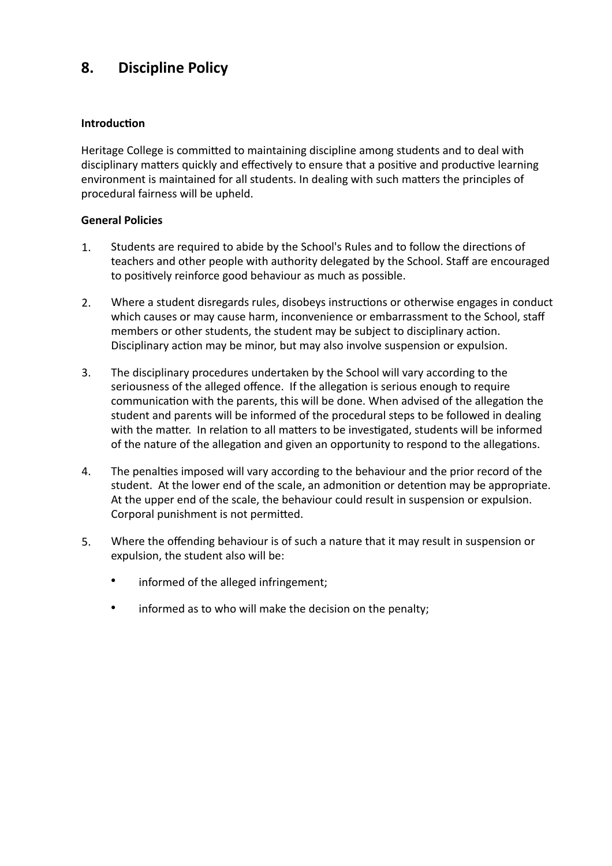### **8.** Discipline Policy

### **Introduction**

Heritage College is committed to maintaining discipline among students and to deal with disciplinary matters quickly and effectively to ensure that a positive and productive learning environment is maintained for all students. In dealing with such matters the principles of procedural fairness will be upheld.

### **General Policies**

- 1. Students are required to abide by the School's Rules and to follow the directions of teachers and other people with authority delegated by the School. Staff are encouraged to positively reinforce good behaviour as much as possible.
- 2. Where a student disregards rules, disobeys instructions or otherwise engages in conduct which causes or may cause harm, inconvenience or embarrassment to the School, staff members or other students, the student may be subject to disciplinary action. Disciplinary action may be minor, but may also involve suspension or expulsion.
- 3. The disciplinary procedures undertaken by the School will vary according to the seriousness of the alleged offence. If the allegation is serious enough to require communication with the parents, this will be done. When advised of the allegation the student and parents will be informed of the procedural steps to be followed in dealing with the matter. In relation to all matters to be investigated, students will be informed of the nature of the allegation and given an opportunity to respond to the allegations.
- 4. The penalties imposed will vary according to the behaviour and the prior record of the student. At the lower end of the scale, an admonition or detention may be appropriate. At the upper end of the scale, the behaviour could result in suspension or expulsion. Corporal punishment is not permitted.
- 5. Where the offending behaviour is of such a nature that it may result in suspension or expulsion, the student also will be:
	- informed of the alleged infringement;
	- informed as to who will make the decision on the penalty;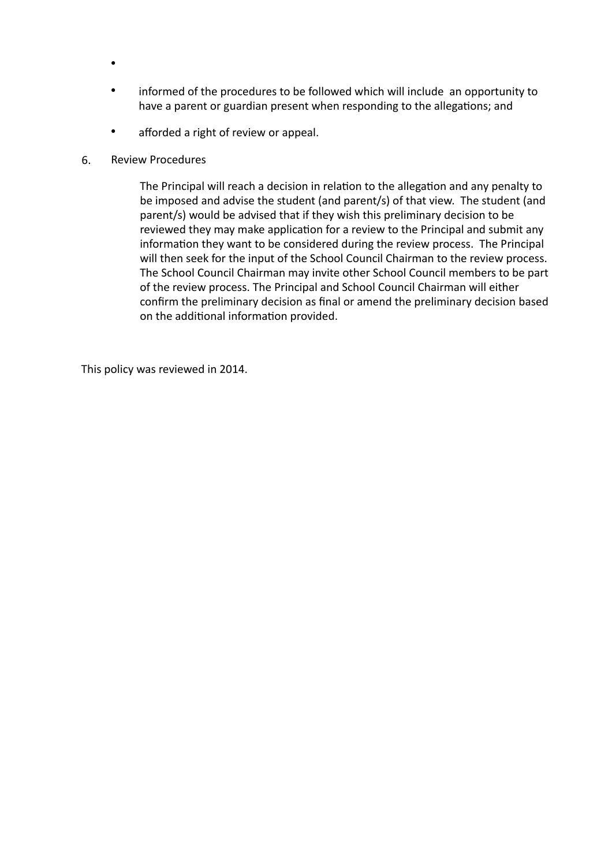- •
- informed of the procedures to be followed which will include an opportunity to have a parent or guardian present when responding to the allegations; and
- afforded a right of review or appeal.
- 6. Review Procedures

The Principal will reach a decision in relation to the allegation and any penalty to be imposed and advise the student (and parent/s) of that view. The student (and parent/s) would be advised that if they wish this preliminary decision to be reviewed they may make application for a review to the Principal and submit any information they want to be considered during the review process. The Principal will then seek for the input of the School Council Chairman to the review process. The School Council Chairman may invite other School Council members to be part of the review process. The Principal and School Council Chairman will either confirm the preliminary decision as final or amend the preliminary decision based on the additional information provided.

This policy was reviewed in 2014.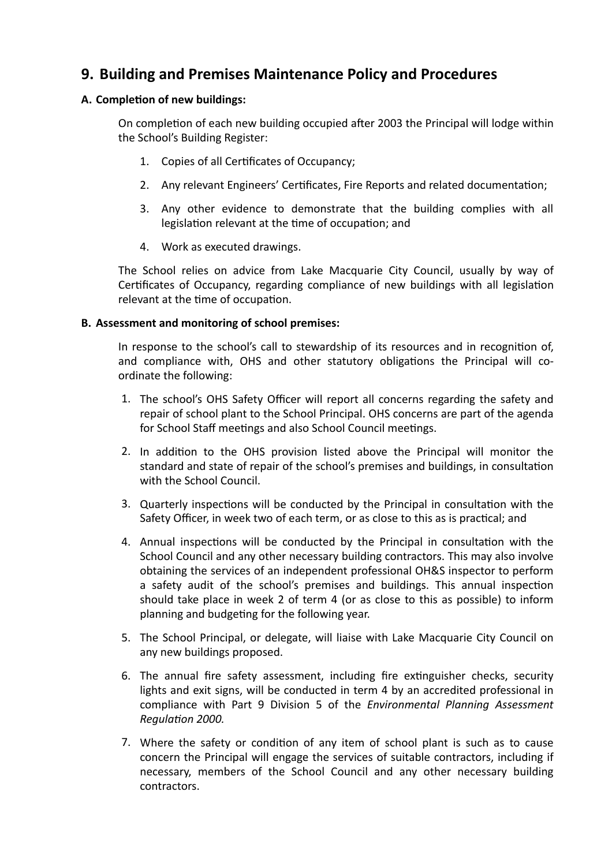### **9. Building and Premises Maintenance Policy and Procedures**

### **A. Completion of new buildings:**

On completion of each new building occupied after 2003 the Principal will lodge within the School's Building Register:

- 1. Copies of all Certificates of Occupancy;
- 2. Any relevant Engineers' Certificates, Fire Reports and related documentation;
- 3. Any other evidence to demonstrate that the building complies with all legislation relevant at the time of occupation; and
- 4. Work as executed drawings.

The School relies on advice from Lake Macquarie City Council, usually by way of Certificates of Occupancy, regarding compliance of new buildings with all legislation relevant at the time of occupation.

#### **B.** Assessment and monitoring of school premises:

In response to the school's call to stewardship of its resources and in recognition of, and compliance with, OHS and other statutory obligations the Principal will coordinate the following:

- 1. The school's OHS Safety Officer will report all concerns regarding the safety and repair of school plant to the School Principal. OHS concerns are part of the agenda for School Staff meetings and also School Council meetings.
- 2. In addition to the OHS provision listed above the Principal will monitor the standard and state of repair of the school's premises and buildings, in consultation with the School Council.
- 3. Quarterly inspections will be conducted by the Principal in consultation with the Safety Officer, in week two of each term, or as close to this as is practical; and
- 4. Annual inspections will be conducted by the Principal in consultation with the School Council and any other necessary building contractors. This may also involve obtaining the services of an independent professional OH&S inspector to perform a safety audit of the school's premises and buildings. This annual inspection should take place in week 2 of term 4 (or as close to this as possible) to inform planning and budgeting for the following year.
- 5. The School Principal, or delegate, will liaise with Lake Macquarie City Council on any new buildings proposed.
- 6. The annual fire safety assessment, including fire extinguisher checks, security lights and exit signs, will be conducted in term 4 by an accredited professional in compliance with Part 9 Division 5 of the *Environmental Planning Assessment* **Regulation 2000.**
- 7. Where the safety or condition of any item of school plant is such as to cause concern the Principal will engage the services of suitable contractors, including if necessary, members of the School Council and any other necessary building contractors.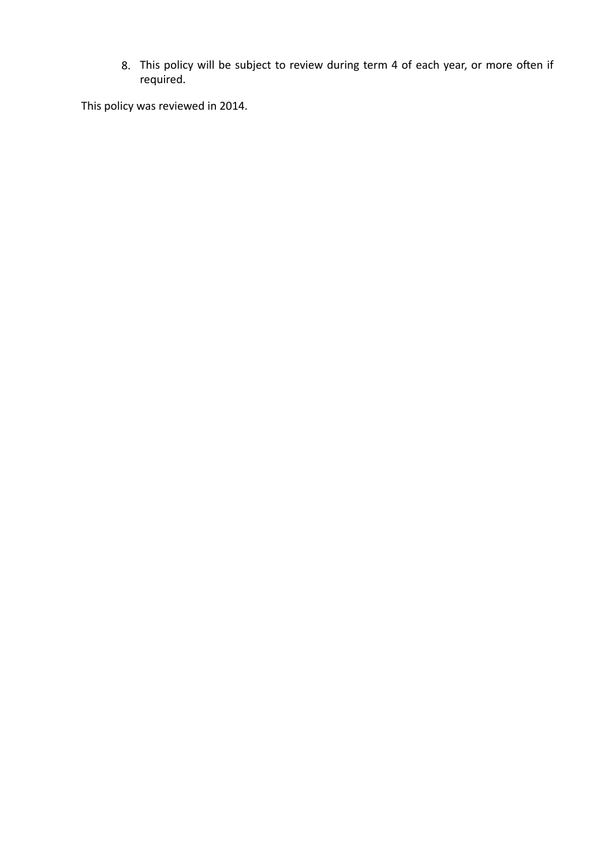8. This policy will be subject to review during term 4 of each year, or more often if required. 

This policy was reviewed in 2014.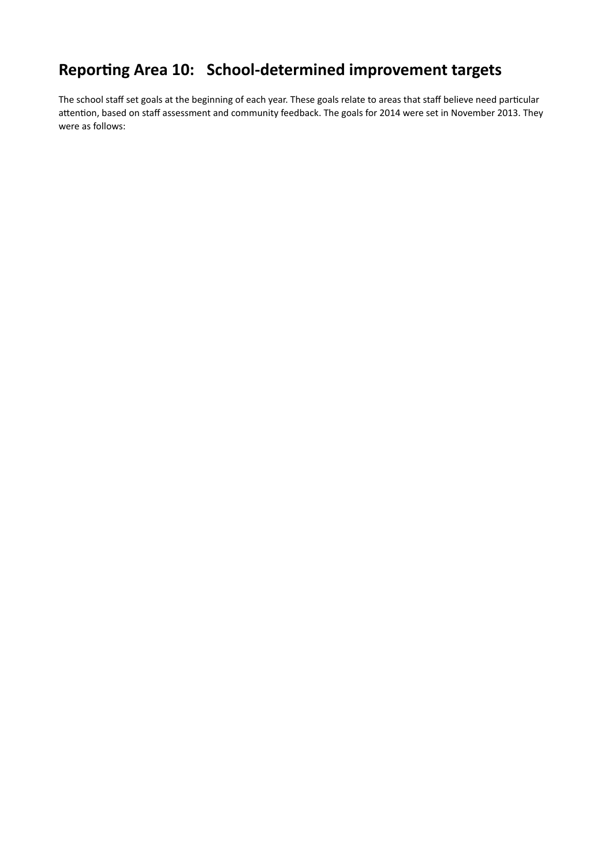## Reporting Area 10: School-determined improvement targets

The school staff set goals at the beginning of each year. These goals relate to areas that staff believe need particular attention, based on staff assessment and community feedback. The goals for 2014 were set in November 2013. They were as follows: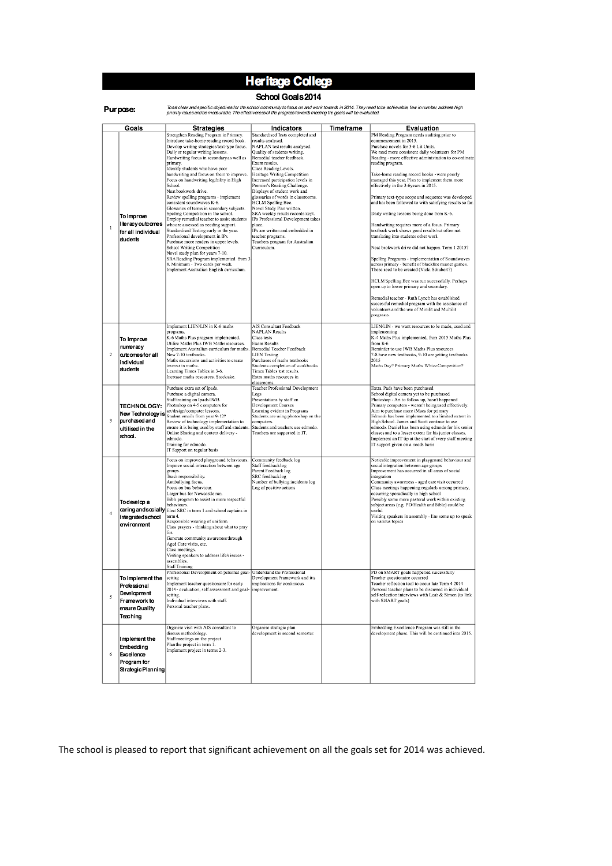## **Heritage College**

#### School Goals 2014

| 'ur ocs |
|---------|
|         |
|         |

Tosel clear and specific objectives for the school community to focus on and work towards in 2014. They need to be achievable, few in number, address high

|                | priority issues and be measurable. The effectiveness of the progress towards meeting the goals will be evaluated. |                                                                                                                                                                                                                                                                                                                                                                                                                                                                                                                                                                                                                                                                                                                                                                                                                                                                                                                                                                     |                                                                                                                                                                                                                                                                                                                                                                                                                                                                                                                                                                                                                            |           |                                                                                                                                                                                                                                                                                                                                                                                                                                                                                                                                                                                                                                                                                                                                                                                                                                                                                                                                                                                                                                                                                                                                                                                   |  |  |
|----------------|-------------------------------------------------------------------------------------------------------------------|---------------------------------------------------------------------------------------------------------------------------------------------------------------------------------------------------------------------------------------------------------------------------------------------------------------------------------------------------------------------------------------------------------------------------------------------------------------------------------------------------------------------------------------------------------------------------------------------------------------------------------------------------------------------------------------------------------------------------------------------------------------------------------------------------------------------------------------------------------------------------------------------------------------------------------------------------------------------|----------------------------------------------------------------------------------------------------------------------------------------------------------------------------------------------------------------------------------------------------------------------------------------------------------------------------------------------------------------------------------------------------------------------------------------------------------------------------------------------------------------------------------------------------------------------------------------------------------------------------|-----------|-----------------------------------------------------------------------------------------------------------------------------------------------------------------------------------------------------------------------------------------------------------------------------------------------------------------------------------------------------------------------------------------------------------------------------------------------------------------------------------------------------------------------------------------------------------------------------------------------------------------------------------------------------------------------------------------------------------------------------------------------------------------------------------------------------------------------------------------------------------------------------------------------------------------------------------------------------------------------------------------------------------------------------------------------------------------------------------------------------------------------------------------------------------------------------------|--|--|
|                | Goals                                                                                                             | <b>Strategies</b>                                                                                                                                                                                                                                                                                                                                                                                                                                                                                                                                                                                                                                                                                                                                                                                                                                                                                                                                                   | Indicators                                                                                                                                                                                                                                                                                                                                                                                                                                                                                                                                                                                                                 | Timeframe | Evaluation                                                                                                                                                                                                                                                                                                                                                                                                                                                                                                                                                                                                                                                                                                                                                                                                                                                                                                                                                                                                                                                                                                                                                                        |  |  |
| I.             | To improve<br>literacy outcomes<br>for all individual<br>students                                                 | Strengthen Reading Program in Primary.<br>Introduce take-home reading record book.<br>Develop writing strategies/text-type focus.<br>Daily or regular writing lessons.<br>Handwriting focus in secondary as well as<br>primary.<br>Identify students who have poor<br>handwriting and focus on them to improve.<br>Focus on handwriting legibility in High<br>School.<br>Neat bookwork drive.<br>Review spelling programs - implement<br>consistent soundwaves K-6.<br>Glossaries of terms in secondary subjects.<br>Spelling Competition in the school.<br>Employ remedial teacher to assist students<br>who are assessed as needing support.<br>Standardised Testing early in the year.<br>Professional development in IPs.<br>Purchase more readers in upper levels.<br>School Writing Competition<br>Novel study plan for years 7-10.<br>SRA Reading Program implemented from 3<br>8. Minimum - Two cards per week.<br>Implement Australian English curriculum. | Standardised Tests completed and<br>results analysed.<br>NAPLAN test results analysed.<br>Quality of students writing.<br>Remedial teacher feedback.<br>Exam results.<br>Class Reading Levels.<br>Heritage Writing Competition<br>Increased participation levels in<br>Premier's Reading Challenge.<br>Displays of student work and<br>glossaries of words in classrooms.<br>HCLM Spelling Bee.<br>Nevel Study Plan written.<br>SRA weekly results records kept.<br>IPs Professional Development takes<br>place.<br>IPs are written and embedded in<br>teacher programs.<br>Teachers program for Australian<br>Curriculum. |           | PM Reading Program needs auditing prior to<br>commencement in 2015.<br>Purchase novels for 3-6 Lit Units.<br>We need more consistent daily volunteers for PM<br>Reading - more effective administration to co-ordinate<br>reading program.<br>Take-home reading record books - were poorly<br>managed this year. Plan to implement them more<br>effectively in the 3-6years in 2015.<br>Primary text-type scope and sequence was developed<br>and has been followed to with satisfying results so far.<br>Daily writing lessons being done from K-6.<br>Handwriting requires more of a focus. Primary<br>textbook work shows good results but often not<br>translating into students other work.<br>Neat bookwork drive did not happen. Term 1 2015?<br>Spelling Programs - implementation of Soundwaves<br>across primary - benefit of blackline master games.<br>These need to be created (Vicki Schubert?)<br>HCLM Spelling Bee was run successfully. Perhaps<br>open up to lower primary and secondary.<br>Remedial teacher - Ruth Lynch has established<br>successful remedial program with the assistance of<br>volunteers and the use of Minilit and Multilit<br>programs. |  |  |
| $\overline{2}$ | To Improve<br>numeracy<br>cutcomesfor all<br>individual<br>students                                               | Implement LIEN/LIN in K-6 maths<br>programs.<br>K-6 Maths Plus program implemented.<br>Utilize Maths Plus IWB Maths resources.<br>Implement Australian curriculum for maths.<br>New 7-10 textbooks.<br>Maths excursions and activities to create<br>interest in maths.<br>Learning Times Tables in 3-6.<br>Increase maths resources. Stocktake.                                                                                                                                                                                                                                                                                                                                                                                                                                                                                                                                                                                                                     | AIS Consultant Feedback<br><b>NAPLAN Results</b><br><b>Class tests</b><br><b>Even Results</b><br>Remedial Teacher Feedback<br><b>LIEN Testing</b><br>Purchases of maths textbooks<br>Students completion of workbooks<br>Times Tables test results.<br>Extra maths resources in<br>classrooms.                                                                                                                                                                                                                                                                                                                             |           | LIEN/LIN - we want resources to be made, used and<br>implementing<br>K-4 Maths Plus implemented, from 2015 Maths Plus<br>from K-6<br>Reminder to use IWB Maths Plus resources<br>7-8 have new textbooks, 9-10 are getting textbooks<br>2015<br>Maths Day? Primary Maths Whizz Competition?                                                                                                                                                                                                                                                                                                                                                                                                                                                                                                                                                                                                                                                                                                                                                                                                                                                                                        |  |  |
| 3              | TECHNOLOGY:<br>purchased and<br>ultilised in the<br>school.                                                       | Purchase extra set of Ipads.<br>Purchase a digital camera.<br>Staff training on Ipads/IWB.<br>Photoshop on 4-5 computers for<br>New Technology is student emails from year 9-12?<br>Review of technology implementation to<br>ensure it is being used by staff and students.<br>Online Sharing and content delivery -<br>edmodo.<br>Training for edmodo.<br>IT Support on regular basis                                                                                                                                                                                                                                                                                                                                                                                                                                                                                                                                                                             | Teacher Professional Development<br>Logs<br>Presentations by staff on<br>Development Courses<br>Learning evident in Programs<br>Students are using photoshop on the<br>computers.<br>Students and teachers use edmodo.<br>Teachers are supported in IT.                                                                                                                                                                                                                                                                                                                                                                    |           | Extra iPads have been purchased<br>School digital camera yet to be purchased<br>Photoshop - Ari to follow up, hasn't happened<br>Primary computers - weren't being used effectively.<br>Aim to purchase more iMaes for primary<br>Edmodo has been implemented to a limited extent in<br>High School. James and Scott continue to use<br>edmodo. Daniel has been using edmodo for his senior<br>classes and to a lesser extent for his junior classes.<br>Implement an IT tip at the start of every staff meeting<br>IT support given on a needs basis                                                                                                                                                                                                                                                                                                                                                                                                                                                                                                                                                                                                                             |  |  |
| $\ddot{a}$     | Todevelop a<br>integrated school<br>environment                                                                   | Focus on improved playground behaviours.<br>Improve social interaction between age<br>groups.<br>Teach responsibility.<br>Antibullying focus.<br>Focus on bus behaviour.<br>Larger bus for Newcastle run.<br>Bible program to assist in more respectful<br>behaviours.<br>caring and sccially Elect SRC in term 1 and school captains in<br>term 4.<br>Responsible wearing of uniform.<br>Class prayers - thinking about what to pray<br>for.<br>Generate community awareness through<br>Aged Care visits, etc.<br>Class meetings.<br>Visiting speakers to address life's issues -<br>assemblies.<br><b>Staff Training</b>                                                                                                                                                                                                                                                                                                                                          | Community feedback log<br>Staff feedback log<br>Parent Feedback log<br>SRC feedback log<br>Number of bullying incidents log<br>Log of positive actions                                                                                                                                                                                                                                                                                                                                                                                                                                                                     |           | Noticable improvement in playground behaviour and<br>social integration between age groups<br>Improvement has occurred in all areas of social<br>integration<br>Community awareness - aged care visit occurred<br>Class meetings happening regularly among primary,<br>occurring sporadically in high school<br>Possibly some more pastoral work within existing<br>subject areas (e.g. PD/Health and Bible) could be<br>useful<br>Visiting speakers in assembly - line some up to speak<br>on various topics                                                                                                                                                                                                                                                                                                                                                                                                                                                                                                                                                                                                                                                                     |  |  |
| 5              | To implement the<br>Professional<br>Development<br>Framework to<br>ensure Quality<br>Teaching                     | Professional Development on personal goal- Understand the Professional<br>setting<br>Implement teacher questionaire for early<br>2014 - evaluation, self assessment and goal-<br>settine.<br>Individual interviews with staff.<br>Personal teacher plans.                                                                                                                                                                                                                                                                                                                                                                                                                                                                                                                                                                                                                                                                                                           | Development Framework and itts<br>implications for continuous<br>improvement.                                                                                                                                                                                                                                                                                                                                                                                                                                                                                                                                              |           | PD on SMART goals happened successfully<br>Teacher questionaire occurred<br>Teacher reflection tool to occur late Term 4 2014<br>Personal teacher plans to be discussed in individual<br>self-reflection interviews with Leah & Simon (to link<br>with SMART goals)                                                                                                                                                                                                                                                                                                                                                                                                                                                                                                                                                                                                                                                                                                                                                                                                                                                                                                               |  |  |
| 6              | Implement the<br>Embedding<br>Excellence<br>Program for<br>Strategic Planning                                     | Organise visit with AIS consultant to<br>discuss methodology.<br>Staff meetings on the project<br>Plan the project in term 1.<br>Implement project in terms 2-3.                                                                                                                                                                                                                                                                                                                                                                                                                                                                                                                                                                                                                                                                                                                                                                                                    | Organise strategie plan<br>development in second semester.                                                                                                                                                                                                                                                                                                                                                                                                                                                                                                                                                                 |           | Embedding Excellence Program was still in the<br>development phase. This will be continued into 2015.                                                                                                                                                                                                                                                                                                                                                                                                                                                                                                                                                                                                                                                                                                                                                                                                                                                                                                                                                                                                                                                                             |  |  |

The school is pleased to report that significant achievement on all the goals set for 2014 was achieved.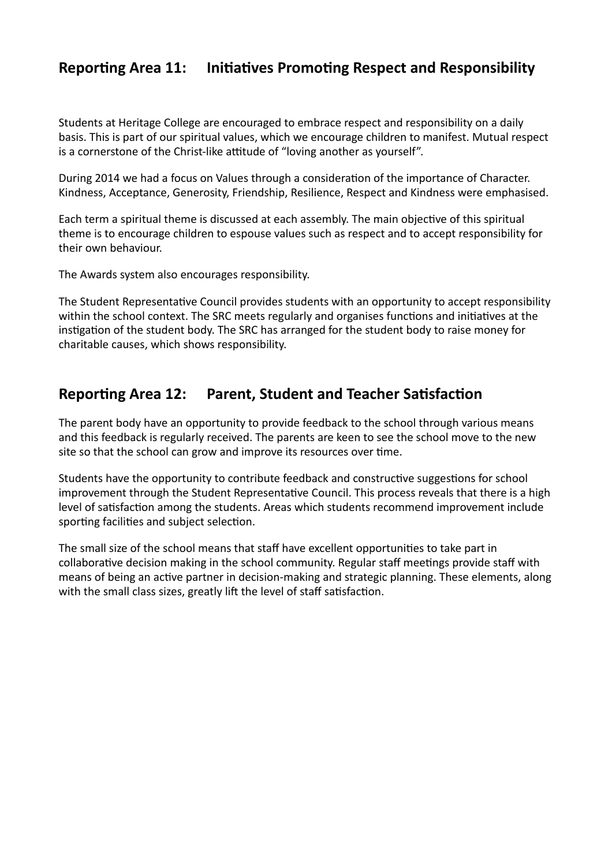### **Reporting Area 11: Initiatives Promoting Respect and Responsibility**

Students at Heritage College are encouraged to embrace respect and responsibility on a daily basis. This is part of our spiritual values, which we encourage children to manifest. Mutual respect is a cornerstone of the Christ-like attitude of "loving another as yourself".

During 2014 we had a focus on Values through a consideration of the importance of Character. Kindness, Acceptance, Generosity, Friendship, Resilience, Respect and Kindness were emphasised.

Each term a spiritual theme is discussed at each assembly. The main objective of this spiritual theme is to encourage children to espouse values such as respect and to accept responsibility for their own behaviour.

The Awards system also encourages responsibility.

The Student Representative Council provides students with an opportunity to accept responsibility within the school context. The SRC meets regularly and organises functions and initiatives at the instigation of the student body. The SRC has arranged for the student body to raise money for charitable causes, which shows responsibility.

### **Reporting Area 12: Parent, Student and Teacher Satisfaction**

The parent body have an opportunity to provide feedback to the school through various means and this feedback is regularly received. The parents are keen to see the school move to the new site so that the school can grow and improve its resources over time.

Students have the opportunity to contribute feedback and constructive suggestions for school improvement through the Student Representative Council. This process reveals that there is a high level of satisfaction among the students. Areas which students recommend improvement include sporting facilities and subject selection.

The small size of the school means that staff have excellent opportunities to take part in collaborative decision making in the school community. Regular staff meetings provide staff with means of being an active partner in decision-making and strategic planning. These elements, along with the small class sizes, greatly lift the level of staff satisfaction.